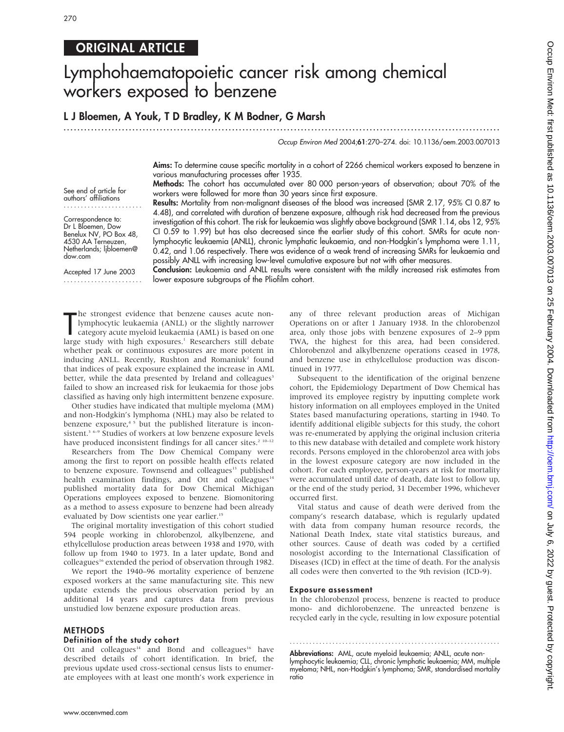# ORIGINAL ARTICLE

# Lymphohaematopoietic cancer risk among chemical workers exposed to benzene

# L J Bloemen, A Youk, T D Bradley, K M Bodner, G Marsh

.............................................................................................................................. .

#### Occup Environ Med 2004;61:270–274. doi: 10.1136/oem.2003.007013

Aims: To determine cause specific mortality in a cohort of 2266 chemical workers exposed to benzene in various manufacturing processes after 1935.

Methods: The cohort has accumulated over 80 000 person-years of observation; about 70% of the workers were followed for more than 30 years since first exposure.

See end of article for authors' affiliations .......................

Correspondence to: Dr L Bloemen, Dow Benelux NV, PO Box 48, 4530 AA Terneuzen, Netherlands; ljbloemen@ dow.com

Accepted 17 June 2003 ....................... Results: Mortality from non-malignant diseases of the blood was increased (SMR 2.17, 95% CI 0.87 to 4.48), and correlated with duration of benzene exposure, although risk had decreased from the previous investigation of this cohort. The risk for leukaemia was slightly above background (SMR 1.14, obs 12, 95% CI 0.59 to 1.99) but has also decreased since the earlier study of this cohort. SMRs for acute nonlymphocytic leukaemia (ANLL), chronic lymphatic leukaemia, and non-Hodgkin's lymphoma were 1.11, 0.42, and 1.06 respectively. There was evidence of a weak trend of increasing SMRs for leukaemia and possibly ANLL with increasing low-level cumulative exposure but not with other measures.

Conclusion: Leukaemia and ANLL results were consistent with the mildly increased risk estimates from lower exposure subgroups of the Pliofilm cohort.

The strongest evidence that benzene causes acute non-<br>lymphocytic leukaemia (ANLL) or the slightly narrower<br>category acute myeloid leukaemia (AML) is based on one<br>large study with high exposures.<sup>1</sup> Researchers still debat he strongest evidence that benzene causes acute nonlymphocytic leukaemia (ANLL) or the slightly narrower category acute myeloid leukaemia (AML) is based on one whether peak or continuous exposures are more potent in inducing ANLL. Recently, Rushton and Romaniuk<sup>2</sup> found that indices of peak exposure explained the increase in AML better, while the data presented by Ireland and colleagues<sup>3</sup> failed to show an increased risk for leukaemia for those jobs

classified as having only high intermittent benzene exposure. Other studies have indicated that multiple myeloma (MM) and non-Hodgkin's lymphoma (NHL) may also be related to benzene exposure,<sup>45</sup> but the published literature is inconsistent.<sup>3 6–9</sup> Studies of workers at low benzene exposure levels have produced inconsistent findings for all cancer sites.<sup>2 10-12</sup>

Researchers from The Dow Chemical Company were among the first to report on possible health effects related to benzene exposure. Townsend and colleagues<sup>13</sup> published health examination findings, and Ott and colleagues<sup>14</sup> published mortality data for Dow Chemical Michigan Operations employees exposed to benzene. Biomonitoring as a method to assess exposure to benzene had been already evaluated by Dow scientists one year earlier.<sup>15</sup>

The original mortality investigation of this cohort studied 594 people working in chlorobenzol, alkylbenzene, and ethylcellulose production areas between 1938 and 1970, with follow up from 1940 to 1973. In a later update, Bond and colleagues<sup>16</sup> extended the period of observation through 1982.

We report the 1940–96 mortality experience of benzene exposed workers at the same manufacturing site. This new update extends the previous observation period by an additional 14 years and captures data from previous unstudied low benzene exposure production areas.

### METHODS

## Definition of the study cohort

Ott and colleagues<sup>14</sup> and Bond and colleagues<sup>16</sup> have described details of cohort identification. In brief, the previous update used cross-sectional census lists to enumerate employees with at least one month's work experience in any of three relevant production areas of Michigan Operations on or after 1 January 1938. In the chlorobenzol area, only those jobs with benzene exposures of 2–9 ppm TWA, the highest for this area, had been considered. Chlorobenzol and alkylbenzene operations ceased in 1978, and benzene use in ethylcellulose production was discontinued in 1977.

Subsequent to the identification of the original benzene cohort, the Epidemiology Department of Dow Chemical has improved its employee registry by inputting complete work history information on all employees employed in the United States based manufacturing operations, starting in 1940. To identify additional eligible subjects for this study, the cohort was re-enumerated by applying the original inclusion criteria to this new database with detailed and complete work history records. Persons employed in the chlorobenzol area with jobs in the lowest exposure category are now included in the cohort. For each employee, person-years at risk for mortality were accumulated until date of death, date lost to follow up, or the end of the study period, 31 December 1996, whichever occurred first.

Vital status and cause of death were derived from the company's research database, which is regularly updated with data from company human resource records, the National Death Index, state vital statistics bureaus, and other sources. Cause of death was coded by a certified nosologist according to the International Classification of Diseases (ICD) in effect at the time of death. For the analysis all codes were then converted to the 9th revision (ICD-9).

#### Exposure assessment

In the chlorobenzol process, benzene is reacted to produce mono- and dichlorobenzene. The unreacted benzene is recycled early in the cycle, resulting in low exposure potential

............................................................... .

Abbreviations: AML, acute myeloid leukaemia; ANLL, acute nonlymphocytic leukaemia; CLL, chronic lymphatic leukaemia; MM, multiple myeloma; NHL, non-Hodgkin's lymphoma; SMR, standardised mortality ratio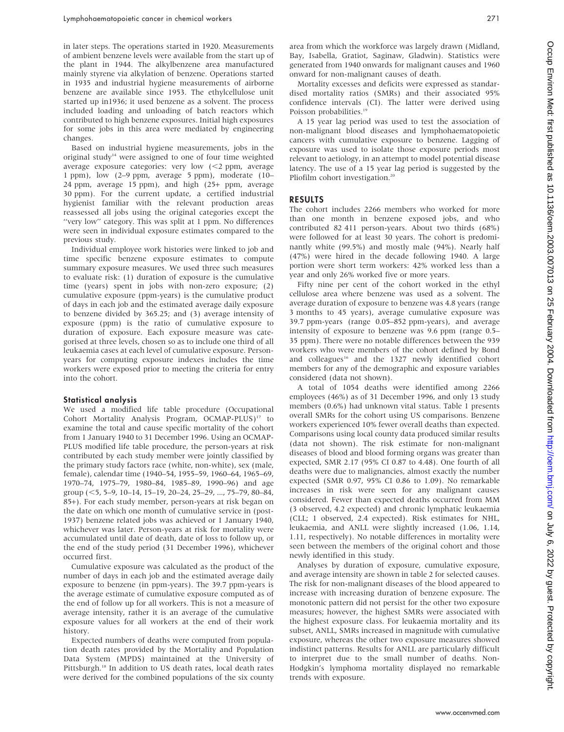in later steps. The operations started in 1920. Measurements of ambient benzene levels were available from the start up of the plant in 1944. The alkylbenzene area manufactured mainly styrene via alkylation of benzene. Operations started in 1935 and industrial hygiene measurements of airborne benzene are available since 1953. The ethylcellulose unit started up in1936; it used benzene as a solvent. The process included loading and unloading of batch reactors which contributed to high benzene exposures. Initial high exposures for some jobs in this area were mediated by engineering changes.

Based on industrial hygiene measurements, jobs in the original study<sup>14</sup> were assigned to one of four time weighted average exposure categories: very low  $\langle$  <2 ppm, average 1 ppm), low (2–9 ppm, average 5 ppm), moderate (10– 24 ppm, average 15 ppm), and high (25+ ppm, average 30 ppm). For the current update, a certified industrial hygienist familiar with the relevant production areas reassessed all jobs using the original categories except the "very low" category. This was split at 1 ppm. No differences were seen in individual exposure estimates compared to the previous study.

Individual employee work histories were linked to job and time specific benzene exposure estimates to compute summary exposure measures. We used three such measures to evaluate risk: (1) duration of exposure is the cumulative time (years) spent in jobs with non-zero exposure; (2) cumulative exposure (ppm-years) is the cumulative product of days in each job and the estimated average daily exposure to benzene divided by 365.25; and (3) average intensity of exposure (ppm) is the ratio of cumulative exposure to duration of exposure. Each exposure measure was categorised at three levels, chosen so as to include one third of all leukaemia cases at each level of cumulative exposure. Personyears for computing exposure indexes includes the time workers were exposed prior to meeting the criteria for entry into the cohort.

#### Statistical analysis

We used a modified life table procedure (Occupational Cohort Mortality Analysis Program, OCMAP-PLUS)<sup>17</sup> to examine the total and cause specific mortality of the cohort from 1 January 1940 to 31 December 1996. Using an OCMAP-PLUS modified life table procedure, the person-years at risk contributed by each study member were jointly classified by the primary study factors race (white, non-white), sex (male, female), calendar time (1940–54, 1955–59, 1960–64, 1965–69, 1970–74, 1975–79, 1980–84, 1985–89, 1990–96) and age group  $(<5, 5-9, 10-14, 15-19, 20-24, 25-29, \ldots, 75-79, 80-84,$ 85+). For each study member, person-years at risk began on the date on which one month of cumulative service in (post-1937) benzene related jobs was achieved or 1 January 1940, whichever was later. Person-years at risk for mortality were accumulated until date of death, date of loss to follow up, or the end of the study period (31 December 1996), whichever occurred first.

Cumulative exposure was calculated as the product of the number of days in each job and the estimated average daily exposure to benzene (in ppm-years). The 39.7 ppm-years is the average estimate of cumulative exposure computed as of the end of follow up for all workers. This is not a measure of average intensity, rather it is an average of the cumulative exposure values for all workers at the end of their work history.

Expected numbers of deaths were computed from population death rates provided by the Mortality and Population Data System (MPDS) maintained at the University of Pittsburgh.<sup>18</sup> In addition to US death rates, local death rates were derived for the combined populations of the six county

area from which the workforce was largely drawn (Midland, Bay, Isabella, Gratiot, Saginaw, Gladwin). Statistics were generated from 1940 onwards for malignant causes and 1960 onward for non-malignant causes of death.

Mortality excesses and deficits were expressed as standardised mortality ratios (SMRs) and their associated 95% confidence intervals (CI). The latter were derived using Poisson probabilities.<sup>1</sup>

A 15 year lag period was used to test the association of non-malignant blood diseases and lymphohaematopoietic cancers with cumulative exposure to benzene. Lagging of exposure was used to isolate those exposure periods most relevant to aetiology, in an attempt to model potential disease latency. The use of a 15 year lag period is suggested by the Pliofilm cohort investigation.<sup>20</sup>

#### RESULTS

The cohort includes 2266 members who worked for more than one month in benzene exposed jobs, and who contributed 82 411 person-years. About two thirds (68%) were followed for at least 30 years. The cohort is predominantly white (99.5%) and mostly male (94%). Nearly half (47%) were hired in the decade following 1940. A large portion were short term workers: 42% worked less than a year and only 26% worked five or more years.

Fifty nine per cent of the cohort worked in the ethyl cellulose area where benzene was used as a solvent. The average duration of exposure to benzene was 4.8 years (range 3 months to 45 years), average cumulative exposure was 39.7 ppm-years (range 0.05–852 ppm-years), and average intensity of exposure to benzene was 9.6 ppm (range 0.5– 35 ppm). There were no notable differences between the 939 workers who were members of the cohort defined by Bond and colleagues<sup>16</sup> and the 1327 newly identified cohort members for any of the demographic and exposure variables considered (data not shown).

A total of 1054 deaths were identified among 2266 employees (46%) as of 31 December 1996, and only 13 study members (0.6%) had unknown vital status. Table 1 presents overall SMRs for the cohort using US comparisons. Benzene workers experienced 10% fewer overall deaths than expected. Comparisons using local county data produced similar results (data not shown). The risk estimate for non-malignant diseases of blood and blood forming organs was greater than expected, SMR 2.17 (95% CI 0.87 to 4.48). One fourth of all deaths were due to malignancies, almost exactly the number expected (SMR 0.97, 95% CI 0.86 to 1.09). No remarkable increases in risk were seen for any malignant causes considered. Fewer than expected deaths occurred from MM (3 observed, 4.2 expected) and chronic lymphatic leukaemia (CLL; 1 observed, 2.4 expected). Risk estimates for NHL, leukaemia, and ANLL were slightly increased (1.06, 1.14, 1.11, respectively). No notable differences in mortality were seen between the members of the original cohort and those newly identified in this study.

Analyses by duration of exposure, cumulative exposure, and average intensity are shown in table 2 for selected causes. The risk for non-malignant diseases of the blood appeared to increase with increasing duration of benzene exposure. The monotonic pattern did not persist for the other two exposure measures; however, the highest SMRs were associated with the highest exposure class. For leukaemia mortality and its subset, ANLL, SMRs increased in magnitude with cumulative exposure, whereas the other two exposure measures showed indistinct patterns. Results for ANLL are particularly difficult to interpret due to the small number of deaths. Non-Hodgkin's lymphoma mortality displayed no remarkable trends with exposure.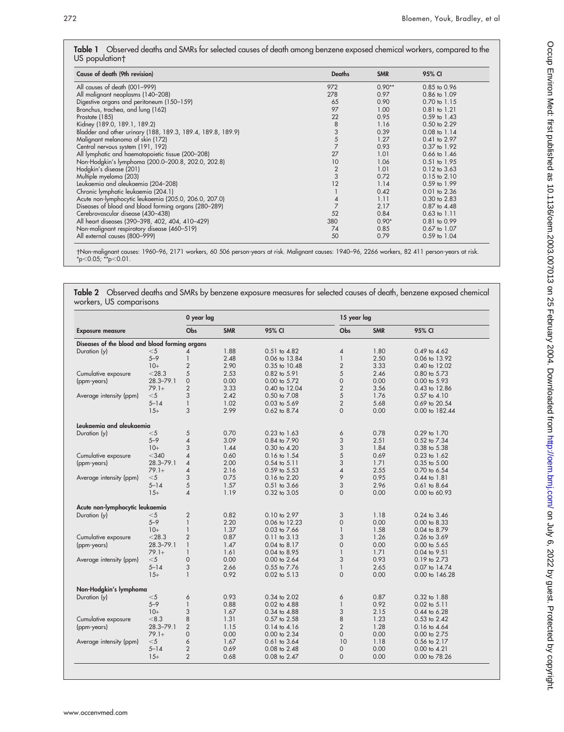|                | Table 1 Observed deaths and SMRs for selected causes of death among benzene exposed chemical workers, compared to the |  |  |
|----------------|-----------------------------------------------------------------------------------------------------------------------|--|--|
| US population† |                                                                                                                       |  |  |

| Cause of death (9th revision)                               | <b>Deaths</b>                              | <b>SMR</b> | 95% CI           |
|-------------------------------------------------------------|--------------------------------------------|------------|------------------|
| All causes of death (001-999)                               | 972                                        | $0.90**$   | 0.85 to 0.96     |
| All malignant neoplasms (140-208)                           | 278                                        | 0.97       | 0.86 to 1.09     |
| Digestive organs and peritoneum (150-159)                   | 65                                         | 0.90       | 0.70 to 1.15     |
| Bronchus, trachea, and lung (162)                           | 97                                         | 1.00       | 0.81 to 1.21     |
| Prostate (185)                                              | 22                                         | 0.95       | 0.59 to 1.43     |
| Kidney (189.0, 189.1, 189.2)                                | 8                                          | 1.16       | 0.50 to 2.29     |
| Bladder and other urinary (188, 189.3, 189.4, 189.8, 189.9) |                                            | 0.39       | $0.08$ to $1.14$ |
| Malignant melanoma of skin (172)                            | $\begin{array}{c} 3 \\ 5 \\ 7 \end{array}$ | 1.27       | 0.41 to 2.97     |
| Central nervous system (191, 192)                           |                                            | 0.93       | 0.37 to 1.92     |
| All lymphatic and haematopoietic tissue (200-208)           | 27                                         | 1.01       | 0.66 to 1.46     |
| Non-Hodgkin's lymphoma (200.0-200.8, 202.0, 202.8)          | 10                                         | 1.06       | 0.51 to 1.95     |
| Hodgkin's disease (201)                                     | $\frac{2}{3}$                              | 1.01       | 0.12 to 3.63     |
| Multiple myeloma (203)                                      |                                            | 0.72       | $0.15$ to $2.10$ |
| Leukaemia and aleukaemia (204-208)                          | 12                                         | 1.14       | 0.59 to 1.99     |
| Chronic lymphatic leukaemia (204.1)                         |                                            | 0.42       | $0.01$ to $2.36$ |
| Acute non-lymphocytic leukaemia (205.0, 206.0, 207.0)       | 4                                          | 1.11       | $0.30$ to $2.83$ |
| Diseases of blood and blood forming organs (280-289)        | $\overline{7}$                             | 2.17       | 0.87 to 4.48     |
| Cerebrovascular disease (430-438)                           | 52                                         | 0.84       | $0.63$ to $1.11$ |
| All heart diseases (390-398, 402, 404, 410-429)             | 380                                        | $0.90*$    | 0.81 to 0.99     |
| Non-malignant respiratory disease (460-519)                 | 74                                         | 0.85       | 0.67 to 1.07     |
| All external causes (800-999)                               | 50                                         | 0.79       | 0.59 to 1.04     |

Non-malignant causes: 1960–96, 2171 workers, 60 506 person-years at risk. Malignant causes: 1940–96, 2266 workers, 82 411 person-years at risk. \*p<0.05; \*\*p<0.01.

Table 2 Observed deaths and SMRs by benzene exposure measures for selected causes of death, benzene exposed chemical workers, US comparisons

|                                                |               | 0 year lag               |            |                  |                | 15 year lag |                  |  |
|------------------------------------------------|---------------|--------------------------|------------|------------------|----------------|-------------|------------------|--|
| <b>Exposure measure</b>                        |               | <b>Obs</b>               | <b>SMR</b> | 95% CI           | Obs            | <b>SMR</b>  | 95% CI           |  |
| Diseases of the blood and blood forming organs |               |                          |            |                  |                |             |                  |  |
| Duration (y)                                   | $<$ 5         | 4                        | 1.88       | 0.51 to 4.82     | 4              | 1.80        | 0.49 to 4.62     |  |
|                                                | $5 - 9$       | $\mathbf{1}$             | 2.48       | 0.06 to 13.84    | $\mathbf{1}$   | 2.50        | 0.06 to 13.92    |  |
|                                                | $10+$         | 2                        | 2.90       | 0.35 to 10.48    | $\sqrt{2}$     | 3.33        | 0.40 to 12.02    |  |
| Cumulative exposure                            | $<$ 28.3      | 5                        | 2.53       | 0.82 to 5.91     | 5              | 2.46        | 0.80 to 5.73     |  |
| (ppm-years)                                    | $28.3 - 79.1$ | $\mathbf 0$              | 0.00       | 0.00 to 5.72     | $\mathbf 0$    | 0.00        | 0.00 to 5.93     |  |
|                                                | $79.1+$       | $\overline{2}$           | 3.33       | 0.40 to 12.04    | $\sqrt{2}$     | 3.56        | 0.43 to 12.86    |  |
| Average intensity (ppm)                        | $<$ 5         | 3                        | 2.42       | 0.50 to 7.08     | 5              | 1.76        | 0.57 to 4.10     |  |
|                                                | $5 - 14$      | $\mathbf{1}$             | 1.02       | 0.03 to 5.69     | $\overline{2}$ | 5.68        | 0.69 to 20.54    |  |
|                                                | $15+$         | 3                        | 2.99       | 0.62 to 8.74     | $\Omega$       | 0.00        | 0.00 to 182.44   |  |
|                                                |               |                          |            |                  |                |             |                  |  |
| Leukaemia and aleukaemia                       |               |                          |            |                  |                |             |                  |  |
| Duration (y)                                   | $<$ 5         | 5                        | 0.70       | $0.23$ to $1.63$ | 6              | 0.78        | 0.29 to 1.70     |  |
|                                                | $5 - 9$       | 4                        | 3.09       | 0.84 to 7.90     | 3              | 2.51        | 0.52 to 7.34     |  |
|                                                | $10+$         | 3                        | 1.44       | 0.30 to 4.20     | 3              | 1.84        | 0.38 to 5.38     |  |
| Cumulative exposure                            | $<$ 340       | 4                        | 0.60       | 0.16 to 1.54     | 5              | 0.69        | 0.23 to 1.62     |  |
| (ppm-years)                                    | $28.3 - 79.1$ | $\overline{\mathcal{A}}$ | 2.00       | 0.54 to 5.11     | 3              | 1.71        | 0.35 to 5.00     |  |
|                                                | $79.1+$       | $\overline{\mathcal{A}}$ | 2.16       | 0.59 to 5.53     | $\overline{4}$ | 2.55        | 0.70 to 6.54     |  |
| Average intensity (ppm)                        | $<$ 5         | 3                        | 0.75       | 0.16 to 2.20     | 9              | 0.95        | $0.44$ to $1.81$ |  |
|                                                | $5 - 14$      | 5                        | 1.57       | $0.51$ to $3.66$ | 3              | 2.96        | $0.61$ to $8.64$ |  |
|                                                | $15+$         | $\overline{\mathcal{A}}$ | 1.19       | 0.32 to 3.05     | $\Omega$       | 0.00        | 0.00 to 60.93    |  |
|                                                |               |                          |            |                  |                |             |                  |  |
| Acute non-lymphocytic leukaemia                |               |                          |            |                  |                |             |                  |  |
| Duration (y)                                   | $<$ 5         | $\overline{2}$           | 0.82       | 0.10 to 2.97     | 3              | 1.18        | 0.24 to 3.46     |  |
|                                                | $5 - 9$       | $\mathbf{1}$             | 2.20       | 0.06 to 12.23    | $\mathbf 0$    | 0.00        | 0.00 to 8.33     |  |
|                                                | $10+$         | $\mathbf{1}$             | 1.37       | 0.03 to 7.66     | $\mathbf{1}$   | 1.58        | 0.04 to 8.79     |  |
| Cumulative exposure                            | $<$ 28.3      | $\overline{2}$           | 0.87       | $0.11$ to $3.13$ | 3              | 1.26        | 0.26 to 3.69     |  |
| (ppm-years)                                    | $28.3 - 79.1$ | $\mathbf{1}$             | 1.47       | 0.04 to 8.17     | $\mathbf 0$    | 0.00        | 0.00 to 5.65     |  |
|                                                | $79.1+$       | $\mathbf{1}$             | 1.61       | 0.04 to 8.95     | $\overline{1}$ | 1.71        | 0.04 to 9.51     |  |
| Average intensity (ppm)                        | $<$ 5         | $\mathbf 0$              | 0.00       | 0.00 to 2.64     | 3              | 0.93        | 0.19 to 2.73     |  |
|                                                | $5 - 14$      | 3                        | 2.66       | 0.55 to 7.76     | $\mathbf{1}$   | 2.65        | 0.07 to 14.74    |  |
|                                                | $15+$         | $\mathbf{1}$             | 0.92       | $0.02$ to $5.13$ | $\mathbf 0$    | 0.00        | 0.00 to 146.28   |  |
| Non-Hodgkin's lymphoma                         |               |                          |            |                  |                |             |                  |  |
| Duration (y)                                   | $<$ 5         | 6                        | 0.93       | 0.34 to 2.02     | 6              | 0.87        | 0.32 to 1.88     |  |
|                                                | $5 - 9$       | 1                        | 0.88       | 0.02 to 4.88     | $\mathbf{1}$   | 0.92        | 0.02 to 5.11     |  |
|                                                | $10+$         | 3                        | 1.67       | 0.34 to 4.88     | 3              | 2.15        | 0.44 to 6.28     |  |
| Cumulative exposure                            | < 8.3         | 8                        | 1.31       | 0.57 to 2.58     | 8              | 1.23        | 0.53 to 2.42     |  |
| (ppm-years)                                    | $28.3 - 79.1$ | $\overline{2}$           | 1.15       | $0.14$ to $4.16$ | $\overline{2}$ | 1.28        | 0.16 to 4.64     |  |
|                                                | $79.1+$       | $\overline{0}$           | 0.00       | 0.00 to 2.34     | $\mathbf 0$    | 0.00        | 0.00 to 2.75     |  |
|                                                | $<$ 5         | 6                        | 1.67       | $0.61$ to $3.64$ | 10             | 1.18        | 0.56 to 2.17     |  |
| Average intensity (ppm)                        |               |                          |            |                  |                |             |                  |  |
|                                                | $5 - 14$      | $\overline{2}$           | 0.69       | 0.08 to 2.48     | $\mathbf 0$    | 0.00        | $0.00$ to $4.21$ |  |
|                                                | $15+$         | $\overline{2}$           | 0.68       | 0.08 to 2.47     | $\mathbf 0$    | 0.00        | 0.00 to 78.26    |  |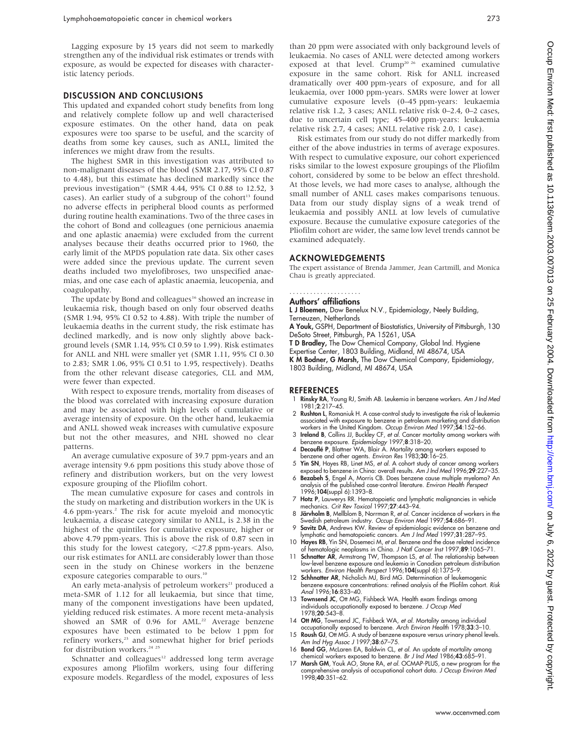Lagging exposure by 15 years did not seem to markedly strengthen any of the individual risk estimates or trends with exposure, as would be expected for diseases with characteristic latency periods.

## DISCUSSION AND CONCLUSIONS

This updated and expanded cohort study benefits from long and relatively complete follow up and well characterised exposure estimates. On the other hand, data on peak exposures were too sparse to be useful, and the scarcity of deaths from some key causes, such as ANLL, limited the inferences we might draw from the results.

The highest SMR in this investigation was attributed to non-malignant diseases of the blood (SMR 2.17, 95% CI 0.87 to 4.48), but this estimate has declined markedly since the previous investigation<sup>16</sup> (SMR 4.44, 95% CI 0.88 to 12.52, 3) cases). An earlier study of a subgroup of the cohort<sup>13</sup> found no adverse effects in peripheral blood counts as performed during routine health examinations. Two of the three cases in the cohort of Bond and colleagues (one pernicious anaemia and one aplastic anaemia) were excluded from the current analyses because their deaths occurred prior to 1960, the early limit of the MPDS population rate data. Six other cases were added since the previous update. The current seven deaths included two myelofibroses, two unspecified anaemias, and one case each of aplastic anaemia, leucopenia, and coagulopathy.

The update by Bond and colleagues<sup>16</sup> showed an increase in leukaemia risk, though based on only four observed deaths (SMR 1.94, 95% CI 0.52 to 4.88). With triple the number of leukaemia deaths in the current study, the risk estimate has declined markedly, and is now only slightly above background levels (SMR 1.14, 95% CI 0.59 to 1.99). Risk estimates for ANLL and NHL were smaller yet (SMR 1.11, 95% CI 0.30 to 2.83; SMR 1.06, 95% CI 0.51 to 1.95, respectively). Deaths from the other relevant disease categories, CLL and MM, were fewer than expected.

With respect to exposure trends, mortality from diseases of the blood was correlated with increasing exposure duration and may be associated with high levels of cumulative or average intensity of exposure. On the other hand, leukaemia and ANLL showed weak increases with cumulative exposure but not the other measures, and NHL showed no clear patterns.

An average cumulative exposure of 39.7 ppm-years and an average intensity 9.6 ppm positions this study above those of refinery and distribution workers, but on the very lowest exposure grouping of the Pliofilm cohort.

The mean cumulative exposure for cases and controls in the study on marketing and distribution workers in the UK is 4.6 ppm-years.2 The risk for acute myeloid and monocytic leukaemia, a disease category similar to ANLL, is 2.38 in the highest of the quintiles for cumulative exposure, higher or above 4.79 ppm-years. This is above the risk of 0.87 seen in this study for the lowest category,  $\langle 27.8 \text{ ppm-years. Also,}$ our risk estimates for ANLL are considerably lower than those seen in the study on Chinese workers in the benzene exposure categories comparable to ours.<sup>10</sup>

An early meta-analysis of petroleum workers<sup>21</sup> produced a meta-SMR of 1.12 for all leukaemia, but since that time, many of the component investigations have been updated, yielding reduced risk estimates. A more recent meta-analysis showed an SMR of 0.96 for AML.<sup>22</sup> Average benzene exposures have been estimated to be below 1 ppm for refinery workers,<sup>23</sup> and somewhat higher for brief periods for distribution workers.<sup>24 25</sup>

Schnatter and colleagues<sup>12</sup> addressed long term average exposures among Pliofilm workers, using four differing exposure models. Regardless of the model, exposures of less than 20 ppm were associated with only background levels of leukaemia. No cases of ANLL were detected among workers exposed at that level. Crump<sup>20 26</sup> examined cumulative exposure in the same cohort. Risk for ANLL increased dramatically over 400 ppm-years of exposure, and for all leukaemia, over 1000 ppm-years. SMRs were lower at lower cumulative exposure levels (0–45 ppm-years: leukaemia relative risk 1.2, 3 cases; ANLL relative risk 0–2.4, 0–2 cases, due to uncertain cell type; 45–400 ppm-years: leukaemia relative risk 2.7, 4 cases; ANLL relative risk 2.0, 1 case).

Risk estimates from our study do not differ markedly from either of the above industries in terms of average exposures. With respect to cumulative exposure, our cohort experienced risks similar to the lowest exposure groupings of the Pliofilm cohort, considered by some to be below an effect threshold. At those levels, we had more cases to analyse, although the small number of ANLL cases makes comparisons tenuous. Data from our study display signs of a weak trend of leukaemia and possibly ANLL at low levels of cumulative exposure. Because the cumulative exposure categories of the Pliofilm cohort are wider, the same low level trends cannot be examined adequately.

#### ACKNOWLEDGEMENTS

The expert assistance of Brenda Jammer, Jean Cartmill, and Monica Chau is greatly appreciated.

#### Authors' affiliations .....................

L J Bloemen, Dow Benelux N.V., Epidemiology, Neely Building,

#### Terneuzen, Netherlands

A Youk, GSPH, Department of Biostatistics, University of Pittsburgh, 130 DeSoto Street, Pittsburgh, PA 15261, USA

T D Bradley, The Dow Chemical Company, Global Ind. Hygiene

Expertise Center, 1803 Building, Midland, MI 48674, USA

K M Bodner, G Marsh, The Dow Chemical Company, Epidemiology, 1803 Building, Midland, MI 48674, USA

#### REFERENCES

- 1 Rinsky RA, Young RJ, Smith AB. Leukemia in benzene workers. Am J Ind Med 1981;2:217–45.
- 2 Rushton L, Romaniuk H. A case-control study to investigate the risk of leukemia associated with exposure to benzene in petroleum marketing and distribution
- workers in the United Kingdom. Occup Environ Med 1997;54:152–66. 3 Ireland B, Collins JJ, Buckley CF, et al. Cancer mortality among workers with benzene exposure. Epidemiology 1997;8:318–20.
- 4 Decouflé P, Blattner WA, Blair A. Mortality among workers exposed to<br>benzene and other agents. Environ Res 1983;30:16–25.
- 5 Yin SN, Hayes RB, Linet MS, et al. A cohort study of cancer among workers exposed to benzene in China: overall results. Am J Ind Med 1996;29:227-35.
- 6 Bezabeh S, Engel A, Morris CB. Does benzene cause multiple myeloma? An analysis of the published case-control literature. Environ Health Perspect 1996;104(suppl 6):1393–8.
- 7 Hotz P, Lauwerys RR. Hematopoietic and lymphatic malignancies in vehicle mechanics. Crit Rev Toxicol 1997;27:443-94.
- 8 Järvholm B, Mellblom B, Norrman R, et al. Cancer incidence of workers in the Swedish petroleum industry. Occup Environ Med 1997;54:686–91.
- 9 Savitz DA, Andrews KW. Review of epidemiologic evidence on benzene and lymphatic and hematopoietic cancers. Am J Ind Med 1997;31:287–95.
- 10 **Hayes RB**, Yin SN, Dosemeci M, et al. Benzene and the dose related incidence of hematologic neoplasms in China. J Natl Cancer Inst 1997;89:1065–71.
- 11 Schnatter AR, Armstrong TW, Thompson LS, et al. The relationship between low-level benzene exposure and leukemia in Canadian petroleum distribution<br>workers. *Environ Health Perspect* 1996;**104**(suppl 6):1375–9.
- 12 Schhnatter AR, Nicholich MJ, Bird MG. Determination of leukemogenic benzene exposure concentrations: refined analysis of the Pliofilm cohort. Risk Anal 1996;16:833–40.
- 13 Townsend JC, Ott MG, Fishbeck WA. Health exam findings among individuals occupationally exposed to benzene. J Occup Med 1978;20:543–8.
- 
- 14 **Ott MG**, Townsend JC, Fishbeck WA, *et al. Mortality among individual*<br>occupationally exposed to benzene. Arch Environ Health 1978;33:3–10.<br>15 **Roush GJ**, Ott MG. A study of benzene exposure versus urinary phenol level Am Ind Hyg Assoc J 1997;38:67-75.
- 16 Bond GG, McLaren EA, Baldwin CL, et al. An update of mortality among chemical workers exposed to benzene. Br J Ind Med 1986;43:685–91.
- 17 Marsh GM, Youk AO, Stone RA, et al. OCMAP-PLUS, a new program for the comprehensive analysis of occupational cohort data. J Occup Environ Med 1998;40:351–62.